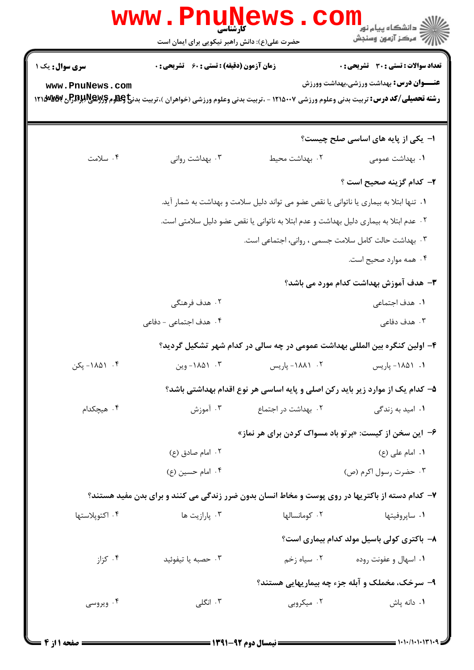| <b>WWW</b>                                                                            | کار شناسی<br>حضرت علی(ع): دانش راهبر نیکویی برای ایمان است                                      |                     | ڪ دانشڪاه پيا <sub>م</sub> نور<br>7ء مرڪز آزمون وسنڊش                         |  |  |  |
|---------------------------------------------------------------------------------------|-------------------------------------------------------------------------------------------------|---------------------|-------------------------------------------------------------------------------|--|--|--|
| سری سوال: یک ۱                                                                        | <b>زمان آزمون (دقیقه) : تستی : 60 ٪ تشریحی : 0</b>                                              |                     | تعداد سوالات : تستى : 30 ٪ تشريحي : 0                                         |  |  |  |
| www.PnuNews.com                                                                       |                                                                                                 |                     | <b>عنـــوان درس:</b> بهداشت ورزشی،بهداشت وورزش                                |  |  |  |
|                                                                                       |                                                                                                 |                     | ا–  یکی از پایه های اساسی صلح چیست؟                                           |  |  |  |
| ۰۴ سلامت                                                                              | ۰۳ بهداشت روانی                                                                                 | ٠٢ بهداشت محيط      | ۰۱ بهداشت عمومی                                                               |  |  |  |
|                                                                                       |                                                                                                 |                     | ۲- کدام گزینه صحیح است ؟                                                      |  |  |  |
|                                                                                       | ٠١ تنها ابتلا به بيماري يا ناتواني يا نقص عضو مي تواند دليل سلامت و بهداشت به شمار آيد.         |                     |                                                                               |  |  |  |
| ۰۲ عدم ابتلا به بیماری دلیل بهداشت و عدم ابتلا به ناتوانی یا نقص عضو دلیل سلامتی است. |                                                                                                 |                     |                                                                               |  |  |  |
| ۰۳ بهداشت حالت کامل سلامت جسمی ، روانی، اجتماعی است.                                  |                                                                                                 |                     |                                                                               |  |  |  |
|                                                                                       |                                                                                                 |                     | ۰۴ همه موارد صحیح است.                                                        |  |  |  |
|                                                                                       |                                                                                                 |                     | ۳- هدف آموزش بهداشت کدام مورد می باشد؟                                        |  |  |  |
|                                                                                       | ۰۲ هدف فرهنگی                                                                                   |                     | ۰۱ هدف اجتماعی                                                                |  |  |  |
|                                                                                       | ۰۴ هدف اجتماعی - دفاعی                                                                          |                     | ۰۳ هدف دفاعی                                                                  |  |  |  |
|                                                                                       |                                                                                                 |                     | ۴- اولین کنگره بین المللی بهداشت عمومی در چه سالی در کدام شهر تشکیل گردید؟    |  |  |  |
| ۰۴ ۸۵۱– پکن                                                                           | ۰۳ ۸۵۱–وین                                                                                      | ۰۲ - ۱۸۸۱- پاریس    | ۰۱ - ۱۸۵۱ ویلریس                                                              |  |  |  |
|                                                                                       |                                                                                                 |                     | ۵– کدام یک از موارد زیر باید رکن اصلی و پایه اساسی هر نوع اقدام بهداشتی باشد؟ |  |  |  |
| ۰۴ هیچکدام                                                                            | ۰۳ آموزش                                                                                        | ۰۲ بهداشت در اجتماع | ۰۱ امید به زندگ <i>ی</i>                                                      |  |  |  |
|                                                                                       |                                                                                                 |                     | ۶- این سخن از کیست: «برتو باد مسواک کردن برای هر نماز»                        |  |  |  |
|                                                                                       | ۰۲ امام صادق (ع)                                                                                |                     | ٠١ امام على (ع)                                                               |  |  |  |
|                                                                                       | ۰۴ امام حسين (ع)                                                                                |                     | ۰۳ حضرت رسول اکرم (ص)                                                         |  |  |  |
|                                                                                       | ۷- کدام دسته از باکتریها در روی پوست و مخاط انسان بدون ضرر زندگی می کنند و برای بدن مفید هستند؟ |                     |                                                                               |  |  |  |
| ۰۴ اکتوپلاستها                                                                        | ۰۳ پارازيت ها                                                                                   | ۰۲ کومانسالها       | ۰۱ ساپروفيتها                                                                 |  |  |  |
|                                                                                       |                                                                                                 |                     | ۸- باکتری کولی باسیل مولد کدام بیماری است؟                                    |  |  |  |
| ۰۴ کزاز                                                                               | ۰۳ حصبه یا تیفوئید                                                                              | ۰۲ سیاه زخم         | ۰۱ اسهال و عفونت روده                                                         |  |  |  |
|                                                                                       |                                                                                                 |                     | ۹- سرخک، مخملک و آبله جزء چه بیماریهایی هستند؟                                |  |  |  |
| ۰۴ ویروسی                                                                             | ۰۳ انگلی                                                                                        | ۰۲ میکروبی          | ٠١. دانه پاش                                                                  |  |  |  |
|                                                                                       |                                                                                                 |                     |                                                                               |  |  |  |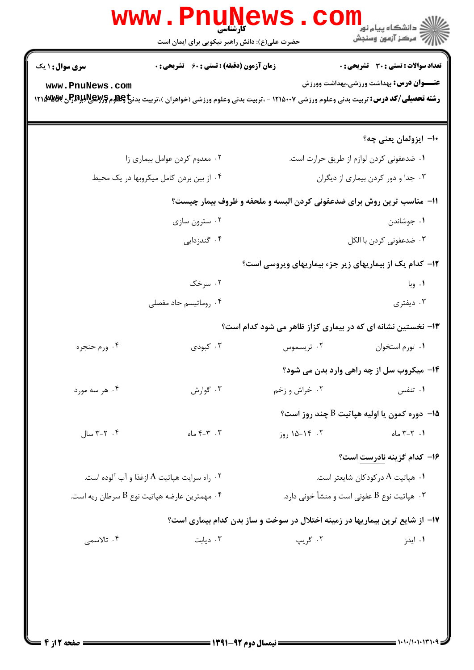| <b>www.PnuNews</b><br>الاد دانشگاه پيام نور<br>الاس مرکز آزمون وسنجش |                                                                                                                                                  |                                    |                                                                              |  |  |  |
|----------------------------------------------------------------------|--------------------------------------------------------------------------------------------------------------------------------------------------|------------------------------------|------------------------------------------------------------------------------|--|--|--|
|                                                                      | حضرت علی(ع): دانش راهبر نیکویی برای ایمان است                                                                                                    |                                    |                                                                              |  |  |  |
| <b>سری سوال : ۱ یک</b>                                               | <b>زمان آزمون (دقیقه) : تستی : 60 ٪ تشریحی : 0</b>                                                                                               |                                    | <b>تعداد سوالات : تستی : 30 ٪ تشریحی : 0</b>                                 |  |  |  |
| www.PnuNews.com                                                      | <b>رشته تحصیلی/کد درس:</b> تربیت بدنی وعلوم ورزشی ۱۲۱۵۰۰۷ - ،تربیت بدنی وعلوم ورزشی (خواهران )،تربیت بدن <b>خ کِللوم RE وRE وRE وRE</b> و ۱۲۱۵۰۷ |                                    | <b>عنـــوان درس:</b> بهداشت ورزشی،بهداشت وورزش                               |  |  |  |
|                                                                      |                                                                                                                                                  |                                    | ۱۰– ایزولمان یعنی چه؟                                                        |  |  |  |
|                                                                      | ۰۲ معدوم کردن عوامل بیماری زا                                                                                                                    |                                    | ٠١ ضدعفوني كردن لوازم از طريق حرارت است.                                     |  |  |  |
|                                                                      | ۰۴ از بین بردن کامل میکروبها در یک محیط                                                                                                          | ۰۳ جدا و دور کردن بیماری از دیگران |                                                                              |  |  |  |
|                                                                      |                                                                                                                                                  |                                    | 1۱- مناسب ترین روش برای ضدعفونی کردن البسه و ملحفه و ظروف بیمار چیست؟        |  |  |  |
|                                                                      | ۰۲ سترون سازي                                                                                                                                    |                                    | ۰۱ جوشاندن                                                                   |  |  |  |
|                                                                      | ۰۴ گندزدایی                                                                                                                                      |                                    | ۰۳ ضدعفونی کردن با الکل                                                      |  |  |  |
|                                                                      |                                                                                                                                                  |                                    | 1۲- کدام یک از بیماریهای زیر جزء بیماریهای ویروسی است؟                       |  |  |  |
|                                                                      | ۰۲ سرخک                                                                                                                                          |                                    | ۱. وبا                                                                       |  |  |  |
|                                                                      | ۰۴ روماتیسم حاد مفصلی                                                                                                                            |                                    | ۰۳ ديفتري                                                                    |  |  |  |
|                                                                      |                                                                                                                                                  |                                    | ۱۳- نخستین نشانه ای که در بیماری کزاز ظاهر می شود کدام است؟                  |  |  |  |
| ۰۴ ورم حنجره                                                         | ۰۳ کبودی                                                                                                                                         | ۰۲ تریسموس                         | ٠١ تورم استخوان                                                              |  |  |  |
|                                                                      |                                                                                                                                                  |                                    | <b>۱۴</b> - میکروب سل از چه راهی وارد بدن می شود؟                            |  |  |  |
| ۰۴ هر سه مورد                                                        | ۰۳ گوارش                                                                                                                                         | ۰۲ خراش و زخم                      | ٠١ تنفس                                                                      |  |  |  |
|                                                                      |                                                                                                                                                  |                                    | ا- دوره کمون یا اولیه هیاتیت $\mathrm{B}$ چند روز است؟ $\sim$                |  |  |  |
| $Y - Y - Y$ سال                                                      | ۰۳ $\uparrow$ -۴ ماه                                                                                                                             | $59,10-19.7$                       | $1 - 7 - 7$ ماه                                                              |  |  |  |
|                                                                      |                                                                                                                                                  |                                    | ۱۶- کدام گزینه نادرست است؟                                                   |  |  |  |
|                                                                      | ۰۲ راه سرایت هپاتیت A ازغذا و آب آلوده است. $\,$                                                                                                 |                                    | ۰۱ هپاتیت A درکودکان شایعتر است.                                             |  |  |  |
|                                                                      | ۰۴ مهمترین عارضه هپاتیت نوع B سرطان ریه است. $\cdot$                                                                                             |                                    | ۰۳ هپاتیت نوع B عفونی است و منشأ خونی دارد.                                  |  |  |  |
|                                                                      |                                                                                                                                                  |                                    | ۱۷– از شایع ترین بیماریها در زمینه اختلال در سوخت و ساز بدن کدام بیماری است؟ |  |  |  |
| ۰۴ تالاسمى                                                           | ۰۳ دیابت                                                                                                                                         | ۰۲ گريپ                            | ۰۱ ایدز                                                                      |  |  |  |
|                                                                      |                                                                                                                                                  |                                    |                                                                              |  |  |  |
|                                                                      |                                                                                                                                                  |                                    |                                                                              |  |  |  |
|                                                                      |                                                                                                                                                  |                                    |                                                                              |  |  |  |
|                                                                      |                                                                                                                                                  |                                    |                                                                              |  |  |  |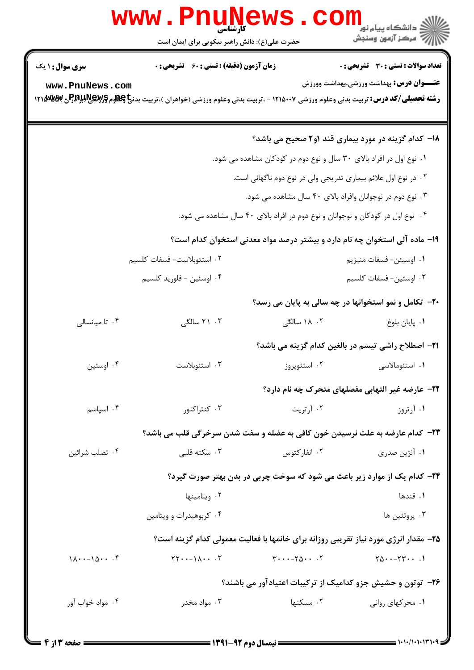| www.PnuNews                                         |                                                                                                                                                                                                                                           |                                                                                |                                                                                      |  |  |
|-----------------------------------------------------|-------------------------------------------------------------------------------------------------------------------------------------------------------------------------------------------------------------------------------------------|--------------------------------------------------------------------------------|--------------------------------------------------------------------------------------|--|--|
|                                                     | حضرت علی(ع): دانش راهبر نیکویی برای ایمان است                                                                                                                                                                                             |                                                                                | اري دانشگاه پيام نور<br>ار دانشگاه پيام نور<br> ار = مرکز آزمون وسنجش                |  |  |
| <b>سری سوال : ۱ یک</b>                              | <b>زمان آزمون (دقیقه) : تستی : 60 ٪ تشریحی : 0</b>                                                                                                                                                                                        |                                                                                | تعداد سوالات : تستى : 30 - تشريحي : 0                                                |  |  |
| www.PnuNews.com                                     | <b>رشته تحصیلی/کد درس:</b> تربیت بدنی وعلوم ورزشی ۱۲۱۵۰۰۷ - ،تربیت بدنی وعلوم ورزشی (خواهران )،تربیت بدن <b>خ کِطلوم گِرگِللوگِلِFAR درس: تربیت ب</b> هگُلُلاهِگِلِگُلُوگُلُلُوگُلُلُوگُلُلُوگُلُلُوگُلُلُوگُلُلُوگُلُلُوگُلُلُوگُلُلُوگُ |                                                                                | <b>عنـــوان درس:</b> بهداشت ورزشی،بهداشت وورزش                                       |  |  |
|                                                     |                                                                                                                                                                                                                                           |                                                                                | <b>۱۸</b> - کدام گزینه در مورد بیماری قند ۱و۲ صحیح می باشد؟                          |  |  |
|                                                     |                                                                                                                                                                                                                                           | ۰۱ نوع اول در افراد بالای ۳۰ سال و نوع دوم در کودکان مشاهده می شود.            |                                                                                      |  |  |
|                                                     |                                                                                                                                                                                                                                           | ۰۲ در نوع اول علائم بیماری تدریجی ولی در نوع دوم ناگهانی است.                  |                                                                                      |  |  |
|                                                     |                                                                                                                                                                                                                                           | ۰۳ نوع دوم در نوجوانان وافراد بالای ۴۰ سال مشاهده می شود.                      |                                                                                      |  |  |
|                                                     |                                                                                                                                                                                                                                           | ۰۴ نوع اول در کودکان و نوجوانان و نوع دوم در افراد بالای ۴۰ سال مشاهده می شود. |                                                                                      |  |  |
|                                                     |                                                                                                                                                                                                                                           |                                                                                | ۱۹- ماده آلی استخوان چه نام دارد و بیشتر درصد مواد معدنی استخوان کدام است؟           |  |  |
|                                                     | ٢. استئوبلاست- فسفات كلسيم                                                                                                                                                                                                                |                                                                                | ٠١ اوسيئن- فسفات منيزيم                                                              |  |  |
|                                                     | ۰۴ اوسئين - فلوريد كلسيم                                                                                                                                                                                                                  |                                                                                | ۰۳ اوسئين- فسفات كلسيم                                                               |  |  |
|                                                     |                                                                                                                                                                                                                                           |                                                                                | <b>۲۰</b> - تکامل و نمو استخوانها در چه سالی به پایان می رسد؟                        |  |  |
| ۰۴ تا میانسالی                                      | ۰۳ سالگی                                                                                                                                                                                                                                  | ۰۲ ۱۸ سالگی                                                                    | ۰۱ پایان بلوغ                                                                        |  |  |
|                                                     |                                                                                                                                                                                                                                           |                                                                                | <b>۲۱</b> – اصطلاح راشی تیسم در بالغین کدام گزینه می باشد؟                           |  |  |
| ۰۴ اوسئين                                           | ۰۳ استئوبلاست                                                                                                                                                                                                                             |                                                                                | ۰۱ استئومالاسی سیست ۲۰ استئوپروز                                                     |  |  |
|                                                     |                                                                                                                                                                                                                                           |                                                                                | <b>۲۲</b> - عارضه غیر التهابی مفصلهای متحرک چه نام دارد؟                             |  |  |
| ۰۴ اسپاسم                                           | ۰۳ کنتراکتور                                                                                                                                                                                                                              | ۰۲ آرتریت                                                                      | ۰۱ آرتروز                                                                            |  |  |
|                                                     | <b>33</b> - كدام عارضه به علت نرسیدن خون كافی به عضله و سفت شدن سرخرگی قلب می باشد؟                                                                                                                                                       |                                                                                |                                                                                      |  |  |
| ۰۴ تصلب شرائين                                      | ۰۳ سکته قلبی                                                                                                                                                                                                                              | ۰۲ انفارکتوس                                                                   | ۰۱ آنژین صدری                                                                        |  |  |
|                                                     |                                                                                                                                                                                                                                           |                                                                                | ۲۴- کدام یک از موارد زیر باعث می شود که سوخت چربی در بدن بهتر صورت گیرد؟             |  |  |
|                                                     | ۰۲ ویتامینها                                                                                                                                                                                                                              |                                                                                | ۰۱ قندها                                                                             |  |  |
|                                                     | ۰۴ کربوهیدرات و ویتامین                                                                                                                                                                                                                   |                                                                                | ۰۳ پروتئين ها                                                                        |  |  |
|                                                     |                                                                                                                                                                                                                                           |                                                                                | ۲۵– مقدار انرژی مورد نیاز تقریبی روزانه برای خانمها با فعالیت معمولی کدام گزینه است؟ |  |  |
| $1\Lambda \cdot \cdot -1\Delta \cdot \cdot \cdot$ . | $\Upsilon\Upsilon\cdot\cdot-\Upsilon\Lambda\cdot\cdot\cdot\Upsilon$                                                                                                                                                                       | $Y \cdot \cdot \cdot - Y \Delta \cdot \cdot \cdot Y$                           | $Y_0 \cdots Y_1 \cdots$                                                              |  |  |
|                                                     |                                                                                                                                                                                                                                           |                                                                                | ۲۶- توتون و حشیش جزو کدامیک از ترکیبات اعتیادآور می باشند؟                           |  |  |
| ۰۴ مواد خواب آور                                    | ۰۳ مواد مخدر                                                                                                                                                                                                                              | ٠٢ مسكنها                                                                      | ۰۱ محرکهای روانی                                                                     |  |  |
|                                                     |                                                                                                                                                                                                                                           |                                                                                |                                                                                      |  |  |